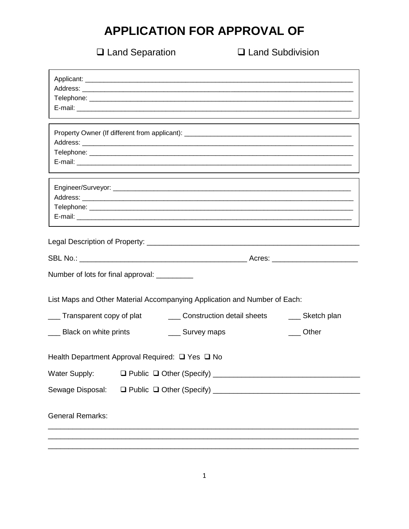## APPLICATION FOR APPROVAL OF

□ Land Separation

**Q** Land Subdivision

| Number of lots for final approval: _________ | List Maps and Other Material Accompanying Application and Number of Each: |                 |  |  |  |
|----------------------------------------------|---------------------------------------------------------------------------|-----------------|--|--|--|
| ___ Transparent copy of plat                 | ___ Construction detail sheets                                            | ___ Sketch plan |  |  |  |
| ___ Black on white prints                    | ___ Survey maps                                                           | Other           |  |  |  |
|                                              | Health Department Approval Required: □ Yes □ No                           |                 |  |  |  |
| Water Supply:                                |                                                                           |                 |  |  |  |
| Sewage Disposal:                             |                                                                           |                 |  |  |  |
| <b>General Remarks:</b>                      |                                                                           |                 |  |  |  |
|                                              |                                                                           |                 |  |  |  |
|                                              |                                                                           |                 |  |  |  |